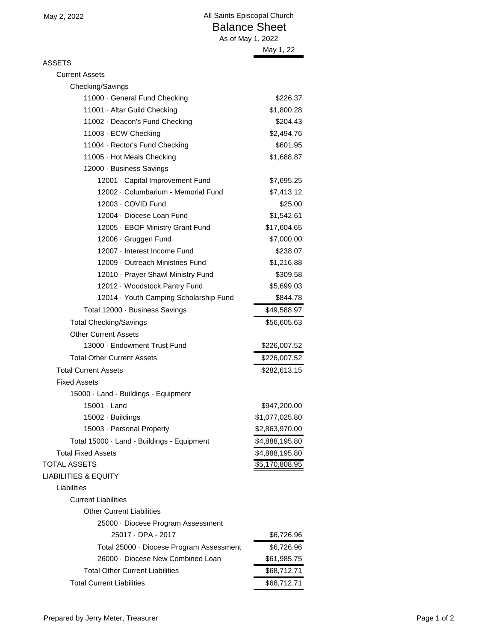ASSETS

| Current Assets |  |
|----------------|--|
|                |  |

| Checking/Savings                           |                |
|--------------------------------------------|----------------|
| 11000 · General Fund Checking              | \$226.37       |
| 11001 · Altar Guild Checking               | \$1,800.28     |
| 11002 · Deacon's Fund Checking             | \$204.43       |
| 11003 · ECW Checking                       | \$2,494.76     |
| 11004 · Rector's Fund Checking             | \$601.95       |
| 11005 · Hot Meals Checking                 | \$1,688.87     |
| 12000 · Business Savings                   |                |
| 12001 · Capital Improvement Fund           | \$7,695.25     |
| 12002 · Columbarium - Memorial Fund        | \$7,413.12     |
| 12003 · COVID Fund                         | \$25.00        |
| 12004 · Diocese Loan Fund                  | \$1,542.61     |
| 12005 · EBOF Ministry Grant Fund           | \$17,604.65    |
| 12006 · Gruggen Fund                       | \$7,000.00     |
| 12007 · Interest Income Fund               | \$238.07       |
| 12009 - Outreach Ministries Fund           | \$1,216.88     |
| 12010 · Prayer Shawl Ministry Fund         | \$309.58       |
| 12012 · Woodstock Pantry Fund              | \$5,699.03     |
| 12014 · Youth Camping Scholarship Fund     | \$844.78       |
| Total 12000 · Business Savings             | \$49,588.97    |
| <b>Total Checking/Savings</b>              | \$56,605.63    |
| <b>Other Current Assets</b>                |                |
| 13000 · Endowment Trust Fund               | \$226,007.52   |
| <b>Total Other Current Assets</b>          | \$226,007.52   |
| <b>Total Current Assets</b>                | \$282,613.15   |
| <b>Fixed Assets</b>                        |                |
| 15000 · Land - Buildings - Equipment       |                |
| 15001 · Land                               | \$947,200.00   |
| 15002 · Buildings                          | \$1,077,025.80 |
| 15003 · Personal Property                  | \$2,863,970.00 |
| Total 15000 · Land - Buildings - Equipment | \$4,888,195.80 |
| <b>Total Fixed Assets</b>                  | \$4,888,195.80 |
| <b>TOTAL ASSETS</b>                        | \$5,170,808.95 |
| <b>LIABILITIES &amp; EQUITY</b>            |                |
| Liabilities                                |                |
| <b>Current Liabilities</b>                 |                |
| <b>Other Current Liabilities</b>           |                |
| 25000 · Diocese Program Assessment         |                |
| 25017 · DPA - 2017                         | \$6,726.96     |
| Total 25000 · Diocese Program Assessment   | \$6,726.96     |
| 26000 · Diocese New Combined Loan          | \$61,985.75    |
| <b>Total Other Current Liabilities</b>     | \$68,712.71    |
| <b>Total Current Liabilities</b>           | \$68,712.71    |
|                                            |                |